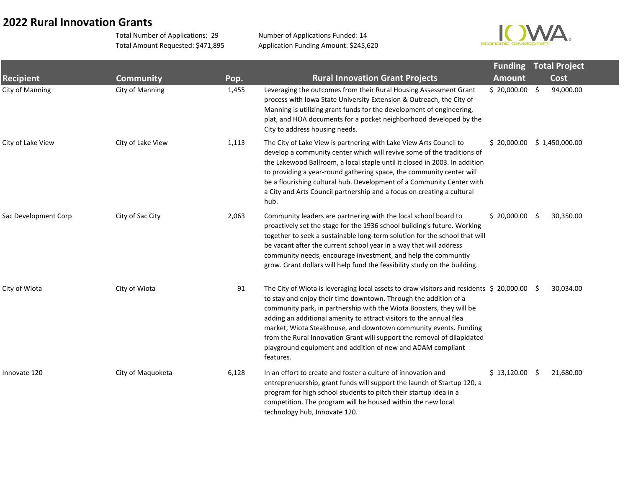## **2022 Rural Innovation Grants**

Total Number of Applications: 29 Total Amount Requested: \$471,895 Number of Applications Funded: 14 Application Funding Amount: \$245,620



|                      |                   |       |                                                                                                                                                                                                                                                                                                                                                                                                                                                                                                                                                   |               | <b>Funding Total Project</b> |  |  |
|----------------------|-------------------|-------|---------------------------------------------------------------------------------------------------------------------------------------------------------------------------------------------------------------------------------------------------------------------------------------------------------------------------------------------------------------------------------------------------------------------------------------------------------------------------------------------------------------------------------------------------|---------------|------------------------------|--|--|
| <b>Recipient</b>     | <b>Community</b>  | Pop.  | <b>Rural Innovation Grant Projects</b>                                                                                                                                                                                                                                                                                                                                                                                                                                                                                                            | <b>Amount</b> | Cost                         |  |  |
| City of Manning      | City of Manning   | 1,455 | Leveraging the outcomes from their Rural Housing Assessment Grant<br>process with Iowa State University Extension & Outreach, the City of<br>Manning is utilizing grant funds for the development of engineering,<br>plat, and HOA documents for a pocket neighborhood developed by the<br>City to address housing needs.                                                                                                                                                                                                                         | \$20,000.00\$ | 94,000.00                    |  |  |
| City of Lake View    | City of Lake View | 1,113 | The City of Lake View is partnering with Lake View Arts Council to<br>develop a community center which will revive some of the traditions of<br>the Lakewood Ballroom, a local staple until it closed in 2003. In addition<br>to providing a year-round gathering space, the community center will<br>be a flourishing cultural hub. Development of a Community Center with<br>a City and Arts Council partnership and a focus on creating a cultural<br>hub.                                                                                     | \$20,000.00   | \$1,450,000.00               |  |  |
| Sac Development Corp | City of Sac City  | 2,063 | Community leaders are partnering with the local school board to<br>proactively set the stage for the 1936 school building's future. Working<br>together to seek a sustainable long-term solution for the school that will<br>be vacant after the current school year in a way that will address<br>community needs, encourage investment, and help the communtiy<br>grow. Grant dollars will help fund the feasibility study on the building.                                                                                                     | \$20,000.00\$ | 30,350.00                    |  |  |
| City of Wiota        | City of Wiota     | 91    | The City of Wiota is leveraging local assets to draw visitors and residents $\leq 20,000.00$ $\leq$<br>to stay and enjoy their time downtown. Through the addition of a<br>community park, in partnership with the Wiota Boosters, they will be<br>adding an additional amenity to attract visitors to the annual flea<br>market, Wiota Steakhouse, and downtown community events. Funding<br>from the Rural Innovation Grant will support the removal of dilapidated<br>playground equipment and addition of new and ADAM compliant<br>features. |               | 30,034.00                    |  |  |
| Innovate 120         | City of Maquoketa | 6,128 | In an effort to create and foster a culture of innovation and<br>entreprenuership, grant funds will support the launch of Startup 120, a<br>program for high school students to pitch their startup idea in a<br>competition. The program will be housed within the new local<br>technology hub, Innovate 120.                                                                                                                                                                                                                                    | \$13,120.00\$ | 21,680.00                    |  |  |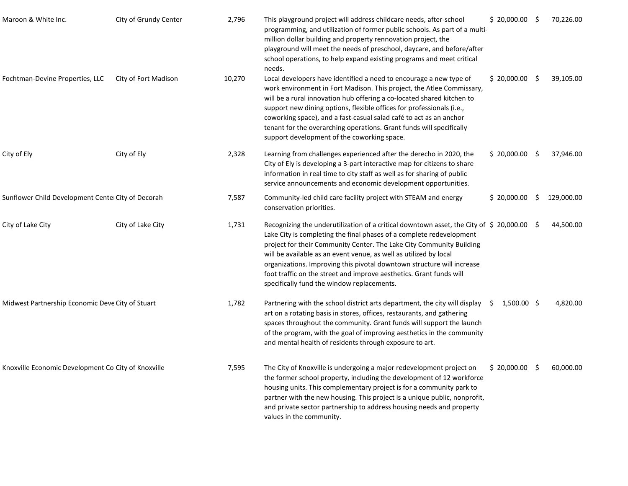| Maroon & White Inc.                                 | City of Grundy Center | 2,796  | This playground project will address childcare needs, after-school<br>programming, and utilization of former public schools. As part of a multi-<br>million dollar building and property rennovation project, the<br>playground will meet the needs of preschool, daycare, and before/after<br>school operations, to help expand existing programs and meet critical<br>needs.                                                                                                                              | $$20,000.00$ \$     |    | 70,226.00  |
|-----------------------------------------------------|-----------------------|--------|-------------------------------------------------------------------------------------------------------------------------------------------------------------------------------------------------------------------------------------------------------------------------------------------------------------------------------------------------------------------------------------------------------------------------------------------------------------------------------------------------------------|---------------------|----|------------|
| Fochtman-Devine Properties, LLC                     | City of Fort Madison  | 10,270 | Local developers have identified a need to encourage a new type of<br>work environment in Fort Madison. This project, the Atlee Commissary,<br>will be a rural innovation hub offering a co-located shared kitchen to<br>support new dining options, flexible offices for professionals (i.e.,<br>coworking space), and a fast-casual salad café to act as an anchor<br>tenant for the overarching operations. Grant funds will specifically<br>support development of the coworking space.                 | \$20,000.00         | -S | 39,105.00  |
| City of Ely                                         | City of Ely           | 2,328  | Learning from challenges experienced after the derecho in 2020, the<br>City of Ely is developing a 3-part interactive map for citizens to share<br>information in real time to city staff as well as for sharing of public<br>service announcements and economic development opportunities.                                                                                                                                                                                                                 | \$20,000.00         | -Ş | 37,946.00  |
| Sunflower Child Development Center City of Decorah  |                       | 7,587  | Community-led child care facility project with STEAM and energy<br>conservation priorities.                                                                                                                                                                                                                                                                                                                                                                                                                 | \$20,000.00         |    | 129,000.00 |
| City of Lake City                                   | City of Lake City     | 1,731  | Recognizing the underutilization of a critical downtown asset, the City of \$ 20,000.00<br>Lake City is completing the final phases of a complete redevelopment<br>project for their Community Center. The Lake City Community Building<br>will be available as an event venue, as well as utilized by local<br>organizations. Improving this pivotal downtown structure will increase<br>foot traffic on the street and improve aesthetics. Grant funds will<br>specifically fund the window replacements. |                     | -Ş | 44,500.00  |
| Midwest Partnership Economic Deve City of Stuart    |                       | 1,782  | Partnering with the school district arts department, the city will display<br>art on a rotating basis in stores, offices, restaurants, and gathering<br>spaces throughout the community. Grant funds will support the launch<br>of the program, with the goal of improving aesthetics in the community<br>and mental health of residents through exposure to art.                                                                                                                                           | $1,500.00$ \$<br>-S |    | 4,820.00   |
| Knoxville Economic Development Co City of Knoxville |                       | 7,595  | The City of Knoxville is undergoing a major redevelopment project on<br>the former school property, including the development of 12 workforce<br>housing units. This complementary project is for a community park to<br>partner with the new housing. This project is a unique public, nonprofit,<br>and private sector partnership to address housing needs and property<br>values in the community.                                                                                                      | $$20,000.00$ \$     |    | 60,000.00  |